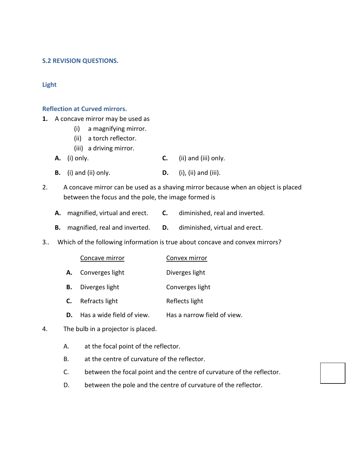#### **S.2 REVISION QUESTIONS.**

#### **Light**

#### **Reflection at Curved mirrors.**

**1.** A concave mirror may be used as

- (i) a magnifying mirror.
- (ii) a torch reflector.
- (iii) a driving mirror.
- **A.** (i) only. **C.** (ii) and (iii) only.
- **B.** (i) and (ii) only. **D.** (i), (ii) and (iii).
- 2. A concave mirror can be used as a shaving mirror because when an object is placed between the focus and the pole, the image formed is
	- **A.** magnified, virtual and erect. **C.** diminished, real and inverted.
	- **B.** magnified, real and inverted. **D.** diminished, virtual and erect.
- 3.. Which of the following information is true about concave and convex mirrors?

| Concave mirror | Convex mirror |
|----------------|---------------|
|                |               |

- **A.** Converges light Diverges light
- **B.** Diverges light Converges light
- **C.** Refracts light Reflects light
- **D.** Has a wide field of view. Has a narrow field of view.
- 4. The bulb in a projector is placed.
	- A. at the focal point of the reflector.
	- B. at the centre of curvature of the reflector.
	- C. between the focal point and the centre of curvature of the reflector.
	- D. between the pole and the centre of curvature of the reflector.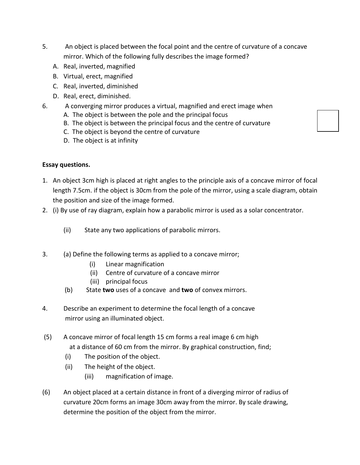- 5. An object is placed between the focal point and the centre of curvature of a concave mirror. Which of the following fully describes the image formed?
	- A. Real, inverted, magnified
	- B. Virtual, erect, magnified
	- C. Real, inverted, diminished
	- D. Real, erect, diminished.
- 6. A converging mirror produces a virtual, magnified and erect image when
	- A. The object is between the pole and the principal focus
	- B. The object is between the principal focus and the centre of curvature
	- C. The object is beyond the centre of curvature
	- D. The object is at infinity

## **Essay questions.**

- 1. An object 3cm high is placed at right angles to the principle axis of a concave mirror of focal length 7.5cm. if the object is 30cm from the pole of the mirror, using a scale diagram, obtain the position and size of the image formed.
- 2. (i) By use of ray diagram, explain how a parabolic mirror is used as a solar concentrator.
	- (ii) State any two applications of parabolic mirrors.
- 3. (a) Define the following terms as applied to a concave mirror;
	- (i) Linear magnification
	- (ii) Centre of curvature of a concave mirror
	- (iii) principal focus
	- (b) State **two** uses of a concave and **two** of convex mirrors.
- 4. Describe an experiment to determine the focal length of a concave mirror using an illuminated object.
- (5) A concave mirror of focal length 15 cm forms a real image 6 cm high at a distance of 60 cm from the mirror. By graphical construction, find;
	- (i) The position of the object.
	- (ii) The height of the object.
		- (iii) magnification of image.
- (6) An object placed at a certain distance in front of a diverging mirror of radius of curvature 20cm forms an image 30cm away from the mirror. By scale drawing, determine the position of the object from the mirror.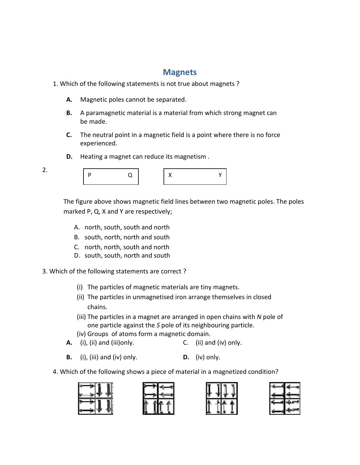# **Magnets**

## 1. Which of the following statements is not true about magnets?

- A. Magnetic poles cannot be separated.
- **B.** A paramagnetic material is a material from which strong magnet can be made.
- **C.** The neutral point in a magnetic field is a point where there is no force experienced.
- **D.** Heating a magnet can reduce its magnetism .

P Q

The figure above shows magnetic field lines between two magnetic poles. The poles marked P, Q, X and Y are respectively; For eneutral point in a magnetic field is a point where there is a<br>
experienced.<br> **D.** Heating a magnet can reduce its magnetism .<br>  $\begin{array}{r} \n\begin{array}{ccc}\n\mathbf{P} & \mathbf{Q} \\
\hline\n\end{array}\n\end{array}\n\qquad\n\begin{array}{r}\n\mathbf{X} & \mathbf{Y} \\
\hline\n\end{array}\n\end{array}$ P  $Q$ <br>
The figure above shows magnetic field lines between tv<br>
marked P, Q, X and Y are respectively;<br>
A. north, south, south and north<br>
B. south, north, north and south<br>
C. north, north, south and north<br>
D. south, south,

A. north, south, south and north

2.

- B. south, north, north and south
- C. north, north, south and north
- D. south, south, north and south
- 3. Which of the following statements are correct?
	- (i) The particles of magnetic materials are tiny magnets.
	- (i) The particles of magnetic materials are tiny magnets.<br>(ii) The particles in unmagnetised iron arrange themselves in closed chains.
	- (iii) The particles in a magnet are arranged in open chains with N pole of one particle against the S pole of its neighbouring particle.
	-
	- (iv) Groups of atoms form a magnetic domain.<br>(i), (ii) and (iii)only. (ii) and (iv) only. **A.** (i), (ii) and (iii)only.
	- **B.** (i), (iii) and (iv) only. **D.** (iv) only.
	- 4. Which of the following shows a piece of material in a magnetized condition?

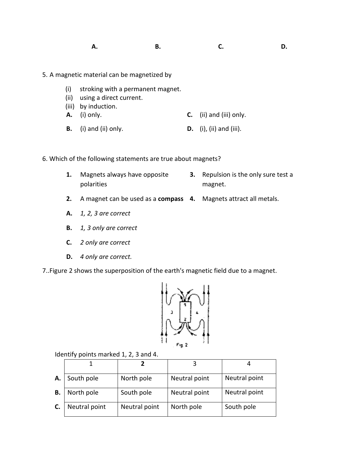#### **A. B. C. D.**

- 5. A magnetic material can be magnetized by<br>
(i) stroking with a permanent magn<br>
(ii) using a direct current.
	- (i) stroking with a permanent magnet.
	- (ii) using a direct current.
	- (iii) by induction.
	- **A.** (i) only. **C.** (ii) and (iii) only.
	- **B.** (i) and (ii) only. **D.** (i), (ii) and (iii).
- 6. Which of the following statements are true about magnets?
	- **1.** Magnets always have opposite polarities **2.** A magnets always have opposite **2. 2. A magnet can be used as a compass 4.** Magnets attract all metals.
- **3.** Repulsion is the only sure test a magnet.
	-
	- **A.** *1, 2, 3 are correct*
	- **B.** *1, 3 only are correct 1, 3 only are*
	- **C.** *2 only are correct*
	- **D.** *4 only are correct.*
- 7..Figure 2 shows the superposition of the earth's magnetic field due to a magnet.



Identify points marked 1, 2, 3 and 4.

| А. | South pole    | North pole    | Neutral point | Neutral point |
|----|---------------|---------------|---------------|---------------|
| В. | North pole    | South pole    | Neutral point | Neutral point |
| C. | Neutral point | Neutral point | North pole    | South pole    |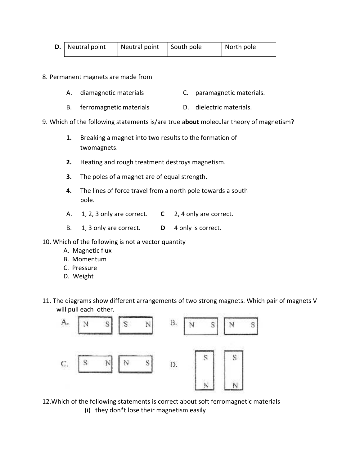| <b>D.</b> Neutral point | Neutral point South pole | North pole |
|-------------------------|--------------------------|------------|
|                         |                          |            |

8. Permanent magnets are made from

- A. diamagnetic materials **C.** paramagnetic materials.
- B. ferromagnetic materials **D.** dielectric materials.
- 9. Which of the following statements is/are true a**bout** molecular theory of magnetism?
	- **1.** Breaking a magnet into two results to the formation of twomagnets.
	- **2.** Heating and rough treatment destroys magnetism.
	- **3.** The poles of a magnet are of equal strength.
	- **4.** The lines of force travel from a north pole towards a south pole.
	- A. 1, 2, 3 only are correct. **C** 2, 4 only are correct.
	- B. 1, 3 only are correct. **D** 4 only is correct.
- 10. Which of the following is not a vector quantity
	- A. Magnetic flux
	- B. Momentum
	- C. Pressure
	- D. Weight
- 11. The diagrams show different arrangements of two strong magnets. Which pair of magnets V will pull each other.



12.Which of the following statements is correct about soft ferromagnetic materials

(i) they don't lose their magnetism easily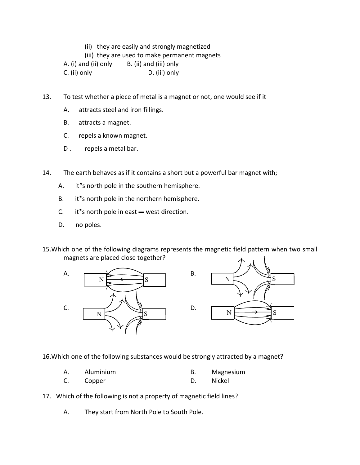(ii) they are easily and strongly magnetized

(iii) they are used to make permanent magnets

A. (i) and (ii) only B. (ii) and (iii) only

C. (ii) only D. (iii) only

13. To test whether a piece of metal is a magnet or not, one would see if it

- A. attracts steel and iron fillings.
- B. attracts a magnet.
- C. repels a known magnet.
- D . repels a metal bar.

14. The earth behaves as if it contains a short but a powerful bar magnet with;

- A. it's north pole in the southern hemisphere.
- B. it's north pole in the northern hemisphere.
- C. it's north pole in east  $-$  west direction.
- D. no poles.

15.Which one of the following diagrams represents the magnetic field pattern when two small magnets are placed close together?





16.Which one of the following substances would be strongly attracted by a magnet?

- A. Aluminium B. Magnesium
- C. Copper D. Nickel
- 17. Which of the following is not a property of magnetic field lines?

A. They start from North Pole to South Pole.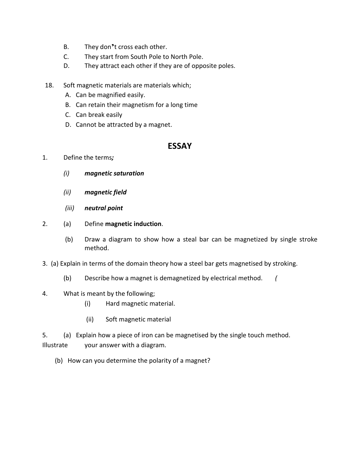- B. They don't cross each other.
- C. They start from South Pole to North Pole.
- D. They attract each other if they are of opposite poles.
- 18. Soft magnetic materials are materials which;
	- A. Can be magnified easily.
	- B. Can retain their magnetism for a long time
	- C. Can break easily
	- D. Cannot be attracted by a magnet.

## **ESSAY**

- 1. Define the terms*;*
	- *(i) magnetic saturation*
	- *(ii) magnetic field*
	- *(iii) neutral point*
- 2. (a) Define **magnetic induction**.
	- (b) Draw a diagram to show how a steal bar can be magnetized by single stroke method.
- 3. (a) Explain in terms of the domain theory how a steel bar gets magnetised by stroking.
	- (b) Describe how a magnet is demagnetized by electrical method. *(*
- 4. What is meant by the following;
	- (i) Hard magnetic material.
	- (ii) Soft magnetic material
- 5. (a) Explain how a piece of iron can be magnetised by the single touch method. Illustrate your answer with a diagram.
	- (b) How can you determine the polarity of a magnet?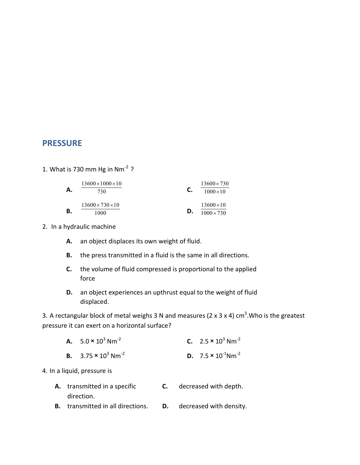## **PRESSURE**

1. What is 730 mm Hg in  $Nm^{-2}$  ?

| Α. | $13600 \times 1000 \times 10$<br>730 | C. | $13600 \times 730$<br>$1000 \times 10$ |
|----|--------------------------------------|----|----------------------------------------|
| В. | $13600 \times 730 \times 10$<br>1000 | D. | $13600\times10$<br>$1000 \times 730$   |

- 2. In a hydraulic machine
	- **A.** an object displaces its own weight of fluid.
	- **B.** the press transmitted in a fluid is the same in all directions.
	- **C.** the volume of fluid compressed is proportional to the applied force
	- **D.** an object experiences an upthrust equal to the weight of fluid displaced.

3. A rectangular block of metal weighs 3 N and measures (2 x 3 x 4) cm<sup>3</sup>. Who is the greatest pressure it can exert on a horizontal surface?

| <b>A.</b> $5.0 \times 10^3$ Nm <sup>-2</sup>  | <b>C.</b> 2.5 $\times$ 10 <sup>3</sup> Nm <sup>-2</sup>  |
|-----------------------------------------------|----------------------------------------------------------|
| <b>B.</b> $3.75 \times 10^3$ Nm <sup>-2</sup> | <b>D.</b> 7.5 $\times$ 10 <sup>-1</sup> Nm <sup>-2</sup> |

4. In a liquid, pressure is

| A. transmitted in a specific             | <b>C.</b> decreased with depth.   |
|------------------------------------------|-----------------------------------|
| direction.                               |                                   |
| <b>B.</b> transmitted in all directions. | <b>D.</b> decreased with density. |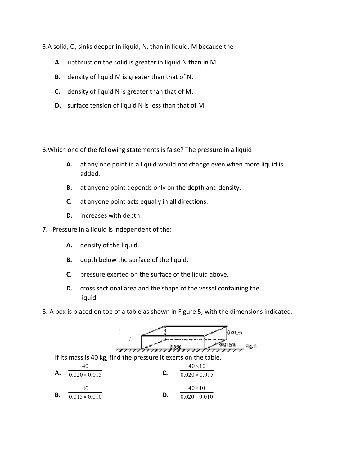5.A solid, Q, sinks deeper in liquid, N, than in liquid, M because the

- **A.** upthrust on the solid is greater in liquid N than in M.
- **B.** density of liquid M is greater than that of N.
- **C.** density of liquid N is greater than that of M.
- **D.** surface tension of liquid N is less than that of M.

6.Which one of the following statements is false? The pressure in a liquid

- **A.** at any one point in a liquid would not change even when more liquid is added. Q, sinks deeper in liquid, N, than in liquid, M because the<br>pthrust on the solid is greater in liquid N than in M.<br>lensity of liquid M is greater than that of N.<br>urface tension of liquid N is less than that of M.<br>urface te
- **B.** at anyone point depends only on the depth and density.
- **C.** at anyone point acts equally in all directions. nyone point depends only on the depth and<br>nyone point acts equally in all directions.<br>eases with depth.<br>liquid is independent of the;
- **D.** increases with depth.

7. Pressure in a liquid is independent of the

- **A.** density of the liquid.
- **B.** depth below the surface of the liquid.
- **C.** pressure exerted on the surface of the liquid above.
- **D.** cross sectional area and the shape of the vessel containing the liquid.
- 8. A box is placed on top of a table as shown in Figure 5, with the dimensions indicated.

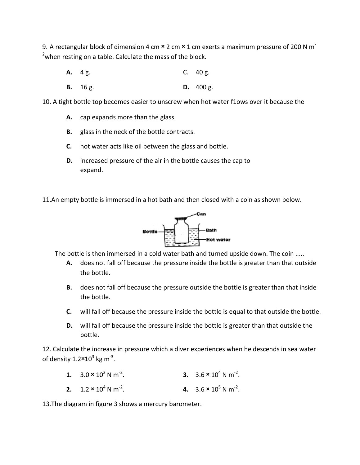9. A rectangular block of dimension 4 cm  $\times$  2 cm  $\times$  1 cm exerts a maximum pressure of 200 N m<sup>-</sup> <sup>2</sup>when resting on a table. Calculate the mass of the block.<br> **A.** 4 g. C. 40 g.

- **A.** 4 g.
- **B.** 16 g. **D.** 400 g.

10. A tight bottle top becomes easier to unscrew when hot water f1ows over it because the ttle top becomes easier to unscrew when hot water flows over it because<br>cap expands more than the glass.<br>glass in the neck of the bottle contracts.<br>hot water acts like oil between the glass and bottle.<br>increased pressure o

- **A.** cap expands more than the glass.
- **B.** glass in the neck of the bottle contracts.
- **C.** hot water acts like oil between the glass and bottle.
- **D.** increased pressure of the air in the bottle causes the cap to expand.



The bottle is then immersed in a cold water bath and turned upside down. The coin .....

- **A.** does not fall off because the pressure inside the bottle is greater than that outside the bottle. a cold water bath and turned upside down. The coin<br>se the pressure inside the bottle is greater than that<br>se the pressure outside the bottle is greater than tha<br>e pressure inside the bottle is equal to that outside the<br>pre
- **B.** does not fall off because the pressure outside the bottle is greater than that inside the bottle. **A.** does not fall off because the pressure inside the bottle is greater than that outside<br>the bottle.<br>**B.** does not fall off because the pressure outside the bottle is greater than that inside<br>the bottle.<br>**C.** will fall o
	- **C.** will fall off because the pressure inside the bottle is equal to that outside the bottle.
	- **D.** will fall off because the pressure inside the bottle is greater than that outside the bottle.

12. Calculate the increase in pressure which a diver experiences when he descends in sea water of density 1.2 $\times$ 10<sup>3</sup> kg m<sup>-3</sup>.

- **1.**  $3.0 \times 10^2 \text{ N m}^2$ . **3.**  $3.6 \times 10^4 \text{ N m}^2$ .
- **2.**  $1.2 \times 10^4$  N m<sup>-2</sup>. **4.**  $3.6 \times 10^5 \text{ N m}^{-2}$ .

13.The diagram in figure 3 shows a mercury barometer.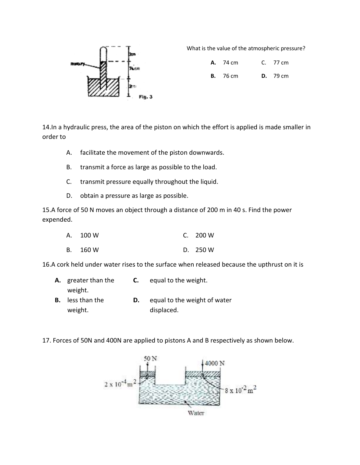

What is the value of the atmospheric pressure?

**A.** 74 cm 77 cm

**B.** 76 cm **D.** 79 cm

14. In a hydraulic press, the area of the piston on which the effort is applied is made smaller in order to

- A. facilitate the movement of the piston downwards.
- B. transmit a force as large as possible to the load.
- C. transmit pressure equally throughout the liquid. of the piston downward<br>as possible to the load.<br>y throughout the liquid.
- D. obtain a pressure as large as possible.

15.A force of 50 N moves an object through a distance of 200 m in 40 s. Find the power expended. obtain a pressure as large as possible.<br>50 N moves an object through a distance of 200<br>100 W C. 200 W

| A. 100 W | C. $200 W$ |
|----------|------------|
| B. 160 W | D. 250 W   |

16.A cork held under water rises to the surface when released because the upthrust on it is

| A. greater than the     | C. | equal to the weight.         |
|-------------------------|----|------------------------------|
| weight.                 |    |                              |
| <b>B.</b> less than the |    | equal to the weight of water |
| weight.                 |    | displaced.                   |

17. Forces of 50N and 400N are applied to pistons A and B respectively as shown below.

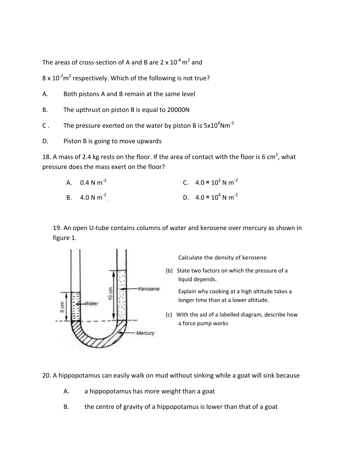The areas of cross-section of A and B are 2 x  $10^{-4}$  m<sup>2</sup> and

 $8 \times 10^{-2}$ m<sup>2</sup> respectively. Which of the following is not true?

- A. Both pistons A and B remain at the same level
- B. The upthrust on piston B is equal to 20000N
- C . The pressure exerted on the water by piston B is  $5x10^4$ Nm<sup>-2</sup>
- D. Piston B is going to move upwards

18. A mass of 2.4 kg rests on the floor. If the area of contact with the floor is 6 cm<sup>2</sup>, what pressure does the mass exert on the floor?

| A. $0.4 N m^{-2}$ | C. $4.0 \times 10^3$ N m <sup>-2</sup> |
|-------------------|----------------------------------------|
| B. $4.0 N m^{-2}$ | D. $4.0 \times 10^4$ N m <sup>-2</sup> |

19. An open U-tube contains columns of water and kerosene over mercury as shown in figure 1.



20. A hippopotamus can easily walk on mud without sinking while a goat will sink because

- A. a hippopotamus has more weight than a goat
- B. the centre of gravity of a hippopotamus is lower than that of a goat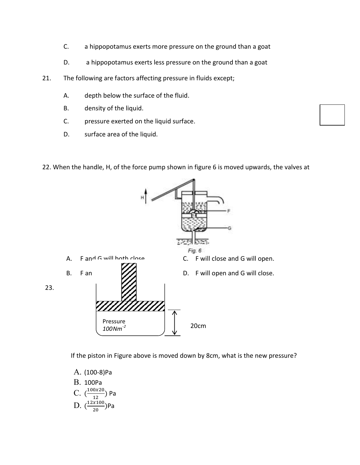- C. a hippopotamus exerts more pressure on the ground than a goat
- D. a hippopotamus exerts less pressure on the ground than a goat
- 21. The following are factors affecting pressure in fluids except;
	- A. depth below the surface of the fluid.
	- B. density of the liquid.
	- C. pressure exerted on the liquid surface.
	- D. surface area of the liquid.
- 22. When the handle, H, of the force pump shown in figure 6 is moved upwards, the valves at



If the piston in Figure above is moved down by 8cm, what is the new pressure?

- A. (100-8)Pa
- B. 100Pa
- C.  $\left(\frac{100x20}{12}\right)$  $\frac{0120}{12}$ ) Pa D.  $\left(\frac{12x100}{20}\right)$  $\frac{2100}{20}$ )Pa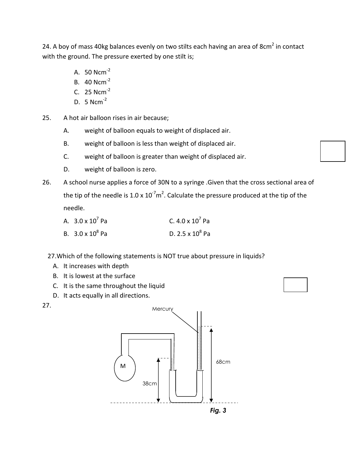24. A boy of mass 40kg balances evenly on two stilts each having an area of 8cm<sup>2</sup> in contact with the ground. The pressure exerted by one stilt is;

- A.  $50$  Ncm<sup>-2</sup>
- B. 40 Ncm-2
- C. 25 Ncm-2
- D. 5  $Ncm^{-2}$
- 25. A hot air balloon rises in air because;
	- A. weight of balloon equals to weight of displaced air.
	- B. weight of balloon is less than weight of displaced air.
	- C. weight of balloon is greater than weight of displaced air.
	- D. weight of balloon is zero.
- 26. A school nurse applies a force of 30N to a syringe .Given that the cross sectional area of the tip of the needle is 1.0 x 10<sup>-7</sup>m<sup>2</sup>. Calculate the pressure produced at the tip of the needle.

| A. $3.0 \times 10^7$ Pa | C. 4.0 x $10^7$ Pa      |
|-------------------------|-------------------------|
| B. $3.0 \times 10^8$ Pa | D. $2.5 \times 10^8$ Pa |

27.Which of the following statements is NOT true about pressure in liquids?

- A. It increases with depth
- B. It is lowest at the surface
- C. It is the same throughout the liquid
- D. It acts equally in all directions.



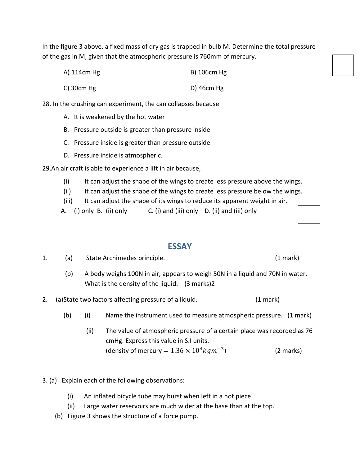In the figure 3 above, a fixed mass of dry gas is trapped in bulb M. Determine the total pressure of the gas in M, given that the atmospheric pressure is 760mm of mercury.

- A) 114cm Hg B) 106cm Hg
- C) 30cm Hg D) 46cm Hg

28. In the crushing can experiment, the can collapses because

- A. It is weakened by the hot water
- B. Pressure outside is greater than pressure inside
- C. Pressure inside is greater than pressure outside
- D. Pressure inside is atmospheric.

29.An air craft is able to experience a lift in air because,

- (i) It can adjust the shape of the wings to create less pressure above the wings.
- (ii) It can adjust the shape of the wings to create less pressure below the wings.
- (iii) It can adjust the shape of its wings to reduce its apparent weight in air.
- A. (i) only B. (ii) only C. (i) and (iii) only D. (ii) and (iii) only

## **ESSAY**

- 1. (a) State Archimedes principle. (1 mark)
	- (b) A body weighs 100N in air, appears to weigh 50N in a liquid and 70N in water. What is the density of the liquid. (3 marks)2
- 2. (a) State two factors affecting pressure of a liquid. (1 mark)
	- (b) (i) Name the instrument used to measure atmospheric pressure. (1 mark)
		- (ii) The value of atmospheric pressure of a certain place was recorded as 76 cmHg. Express this value in S.I units. (density of mercury =  $1.36 \times 10^4 kg m^{-3}$ ) (2 marks)
- 3. (a) Explain each of the following observations:
	- (i) An inflated bicycle tube may burst when left in a hot piece.
	- (ii) Large water reservoirs are much wider at the base than at the top.
	- (b) Figure 3 shows the structure of a force pump.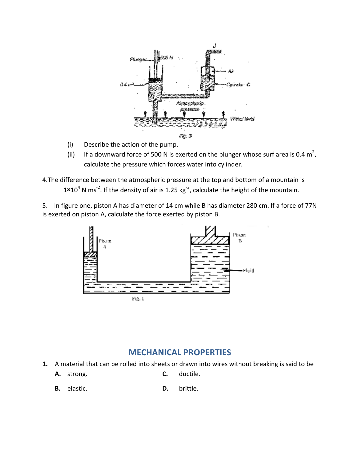

- (i) Describe the action of the pump.
- (ii) If a downward force of 500 N is exerted on the plunger whose surf area is 0.4 m<sup>2</sup>, calculate the pressure which forces water into cylinder.
- 4.The difference between the atmospheric pressure at the top and bottom of a mountain is (ii) If a downward force of 500 N is exerted on the plunger whose surf area is 0.<br>
calculate the pressure which forces water into cylinder.<br>
4. The difference between the atmospheric pressure at the top and bottom of a mo

5. In figure one, piston A has diameter of 14 cm while B has diameter 280 cm. If a force of 77N is exerted on piston A, calculate the force exerted by piston B.



# **MECHANICAL PROPERTIES**

- **1.** A material that can be rolled into sheets or drawn into wires without breaking is said to be
	- **A.** strong. **C.** ductile.
	- **B.** elastic. **D.** brittle.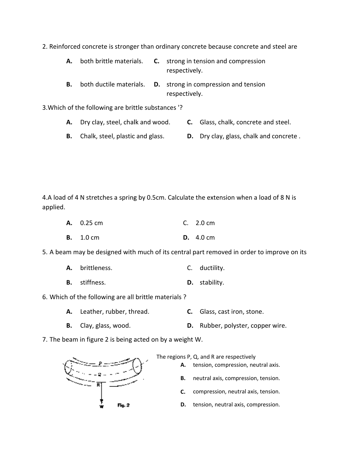2. Reinforced concrete is stronger than ordinary concrete because concrete and steel are

- **A.** both brittle materials. **C.** strong in tension and compression respectively.
- **B.** both ductile materials. **D.** strong in compression and tension respectively.

3. Which of the following are brittle substances '?

- **A.** Dry clay, steel, chalk and wood. **C.** Glass, chalk, concrete and steel.
- **B.** Chalk, steel, plastic and glass. **D.** Dry clay, glass, chalk and concrete .

4.A load of 4 N stretches a spring by 0.5cm. Calculate the extension when a load of 8 N is applied. nary concrete because concrete and steel<br>strong in tension and compression<br>respectively.<br>strong in compression and tension<br>respectively.<br>ces '?<br>1. C. Glass, chalk, concrete and stee<br>**D.** Dry clay, glass, chalk and concrete

| A. 0.25 cm       | C. $2.0 \text{ cm}$        |
|------------------|----------------------------|
| <b>B.</b> 1.0 cm | <b>D.</b> $4.0 \text{ cm}$ |

5. A beam may be designed with much of its central part removed in order to improve on its

| C. ductility. |
|---------------|
|               |

- **B.** stiffness. **D.** stability.
- 6. Which of the following are all brittle materials?
	- **A.** Leather, rubber, thread. **C.** Glass, cast iron, stone.
	- **B.** Clay, glass, wood. **D.** Rubber, polyster, copper wire.

7. The beam in figure 2 is being acted on by a weight W.



The regions P, Q, and R are respectively

**A.** tension, compression, neutral axis.

**B.** neutral axis, compression, tension.

- **C.** compression, neutral axis, tension.
- **D.** tension, neutral axis, compression.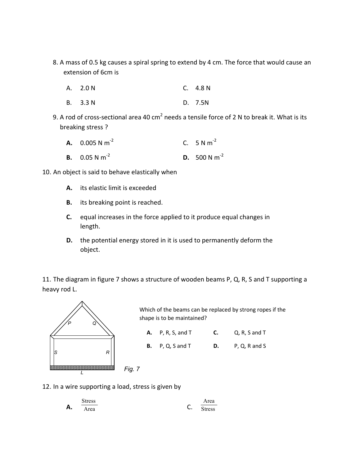- 8. A mass of 0.5 kg causes a spiral spring to extend by 4 cm. The force that would cause an extension of 6cm is
	- A. 2.0 N C. 4.8 N
	- B. 3.3 N D. 7.5N
- 9. A rod of cross-sectional area 40 cm<sup>2</sup> needs a tensile force of 2 N to break it. What is its breaking stress ?
	- **A.**  $0.005 N m^{-2}$ C.  $5 N m^{-2}$ **B.** 0.05 N m<sup>-2</sup> **D.** 500 N m<sup>-2</sup>
- 10. An object is said to behave elastically when
	- **A.** its elastic limit is exceeded
	- **B.** its breaking point is reached.
	- **C.** equal increases in the force applied to it produce equal changes in length.
	- **D.** the potential energy stored in it is used to permanently deform the object.

11. The diagram in figure 7 shows a structure of wooden beams P, Q, R, S and T supporting a heavy rod L.



Which of the beams can be replaced by strong ropes if the shape is to be maintained?

| $A.$ P, R, S, and T     | C. | Q, R, S and T |
|-------------------------|----|---------------|
| <b>B.</b> P, Q, S and T | D. | P, Q, R and S |

12. In a wire supporting a load, stress is given by

|    | Stress |    | $r \alpha$ |
|----|--------|----|------------|
| Α. | Area   | ັ. | Stress     |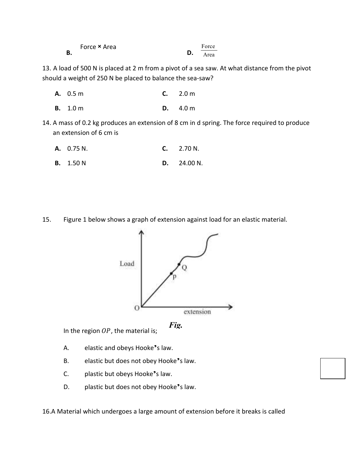|    | Force × Area |    | Force |
|----|--------------|----|-------|
| В. |              | D. | Area  |

13. A load of 500 N is placed at 2 m from a pivot of a sea saw. At what distance from the pivot should a weight of 250 N be placed to balance the sea-saw?

- **A.** 0.5 m **C.** 2.0 m
- **B.** 1.0 m **D.** 4.0 m
- 14. A mass of 0.2 kg produces an extension of 8 cm in d spring. The force required to produce an extension of 6 cm is
	- **A.** 0.75 N. **C.** 2.70 N.
	- **B.** 1.50 N **D.** 24.00 N.

15. Figure 1 below shows a graph of extension against load for an elastic material.





In the region  $OP$ , the material is;

- A. elastic and obeys Hooke's law.
- B. elastic but does not obey Hooke's law.
- C. plastic but obeys Hooke's law.
- D. plastic but does not obey Hooke's law.

16.A Material which undergoes a large amount of extension before it breaks is called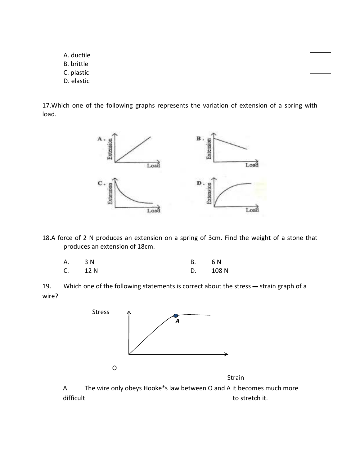- A. ductile B. brittle
- C. plastic
- D. elastic

17.Which one of the following graphs represents the variation of extension of a spring with load.



18.A force of 2 N produces an extension on a spring of 3cm. Find the weight of a stone that produces an extension of 18cm.

| A. 3N     | В. | 6 N      |
|-----------|----|----------|
| $C.$ 12 N |    | D. 108 N |

19. Which one of the following statements is correct about the stress - strain graph of a wire?



Strain

A. The wire only obeys Hooke's law between O and A it becomes much more difficult difficult to stretch it.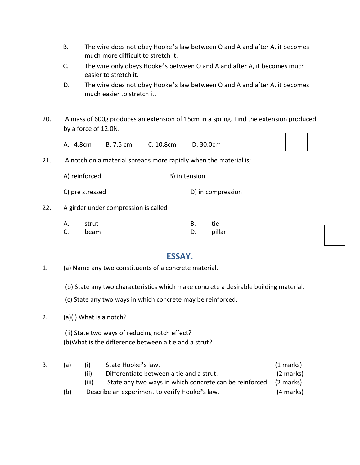- B. The wire does not obey Hooke's law between O and A and after A, it becomes much more difficult to stretch it.
- C. The wire only obeys Hooke's between O and A and after A, it becomes much easier to stretch it.
- D. The wire does not obey Hooke's law between O and A and after A, it becomes much easier to stretch it.
- 20. A mass of 600g produces an extension of 15cm in a spring. Find the extension produced by a force of 12.0N.
	- A. 4.8cm B. 7.5 cm C. 10.8cm D. 30.0cm
- 21. A notch on a material spreads more rapidly when the material is;
	- A) reinforced B) in tension
	- C) pre stressed D) in compression
- 22. A girder under compression is called

| А. | strut ہ | B. | tie –     |
|----|---------|----|-----------|
|    | C. beam |    | D. pillar |

## **ESSAY.**

- 1. (a) Name any two constituents of a concrete material.
	- (b) State any two characteristics which make concrete a desirable building material.

(c) State any two ways in which concrete may be reinforced.

2. (a)(i) What is a notch?

 (ii) State two ways of reducing notch effect? (b)What is the difference between a tie and a strut?

| 3. | (a) | (i)   | State Hooke's law.                                                | (1 marks)           |
|----|-----|-------|-------------------------------------------------------------------|---------------------|
|    |     | (ii)  | Differentiate between a tie and a strut.                          | $(2 \text{ marks})$ |
|    |     | (iii) | State any two ways in which concrete can be reinforced. (2 marks) |                     |
|    | (b) |       | Describe an experiment to verify Hooke's law.                     | (4 marks)           |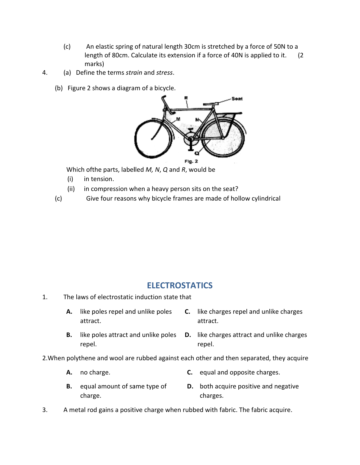- (c) An elastic spring of natural length 30cm is stretched by a force of 50N to a length of 80cm. Calculate its extension if a force of 40N is applied to it. length of 80cm. Calculate its extension if a force of 40N is applied to it. marks)
- 4. (a) Define the terms *strain*  and *stress*.
	- (b) Figure 2 shows a diagram of a bicycle.



Which of the parts, labelled *M*, *N*, *Q* and *R*, would be

- (i) in tension.
- (ii) in compression when a heavy person sits on the seat?
- (c) Give four reasons why bicycle frames are made of hollow cylindrical

## **ELECTROSTATICS**

- 1. The laws of electrostatic induction state that
	- **A.** like poles repel and unlike poles attract. **C.** like charges repel and unlike charges attract.
	- **B.** like poles attract and unlike poles repel. and unlike poles **D.** like charges attract and unlike charges repel.
- 2. When polythene and wool are rubbed against each other and then separated, they acquire
	- **A.** no charge. **C.** equal and opposite charges.
	- **B.** equal amount of same type of charge. **D.** both acquire positive and negative charges.
- 3. A metal rod gains a positive charge when rubbed with fabric. The fabric acquire.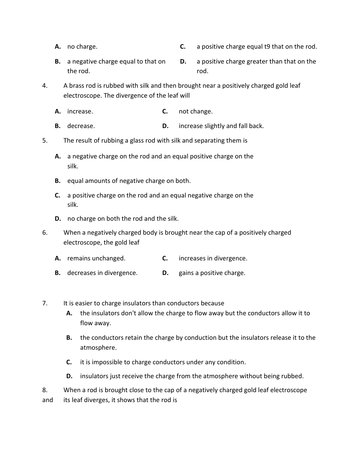- 
- **A.** no charge. **C.** a positive charge equal t9 that on the rod.
- **B.** a negative charge equal to that on the rod. **D.** a positive charge greater than that on the rod.
- 4. A brass rod is rubbed with silk and then brought near a positively charged gold leaf electroscope. The divergence of the leaf will
	- **A.** increase. **C.** not change.
	- **B.** decrease. **D.** increase slightly and fall back.
- 5. The result of rubbing a glass rod with silk and separating them is
	- **A.** a negative charge on the rod and an equal positive charge on the silk.
	- **B.** equal amounts of negative charge on both.
	- **C.** a positive charge on the rod and an equal negative charge on the silk.
	- **D.** no charge on both the rod and the silk.
- 6. When a negatively charged body is brought near the cap of a positively charged electroscope, the gold leaf
	- **A.** remains unchanged. **C.** increases in divergence.
	- **B.** decreases in divergence. **D.** gains a positive charge.
- 7. It is easier to charge insulators than conductors because
	- **A.** the insulators don't allow the charge to flow away but the conductors allow it to flow away.
	- **B.** the conductors retain the charge by conduction but the insulators release it to the atmosphere.
	- **C.** it is impossible to charge conductors under any condition.
	- **D.** insulators just receive the charge from the atmosphere without being rubbed.

8. When a rod is brought close to the cap of a negatively charged gold leaf electroscope and its leaf diverges, it shows that the rod is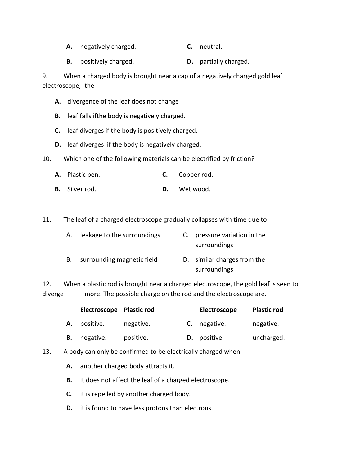- **A.** negatively charged. **C.** neutral.
- **B.** positively charged. **D.** partially charged.

9. When a charged body is brought near a cap of a negatively charged gold leaf electroscope, the

- **A.** divergence of the leaf does not change
- **B.** leaf falls ifthe body is negatively charged.
- **C.** leaf diverges if the body is positively charged.
- **D.** leaf diverges if the body is negatively charged.
- 10. Which one of the following materials can be electrified by friction?
	- **A.** Plastic pen. **C.** Copper rod.
	- **B.** Silver rod. **D.** Wet wood.

11. The leaf of a charged electroscope gradually collapses with time due to

| А. | leakage to the surroundings | C. pressure variation in the<br>surroundings |
|----|-----------------------------|----------------------------------------------|
| В. | surrounding magnetic field  | D. similar charges from the                  |

12. When a plastic rod is brought near a charged electroscope, the gold leaf is seen to diverge more. The possible charge on the rod and the electroscope are.

surroundings

|    | Electroscope Plastic rod |           | Electroscope        | <b>Plastic rod</b> |
|----|--------------------------|-----------|---------------------|--------------------|
| А. | positive.                | negative. | <b>C.</b> negative. | negative.          |
|    | negative.                | positive. | D. positive.        | uncharged.         |

- 13. A body can only be confirmed to be electrically charged when
	- **A.** another charged body attracts it.
	- **B.** it does not affect the leaf of a charged electroscope.
	- **C.** it is repelled by another charged body.
	- **D.** it is found to have less protons than electrons.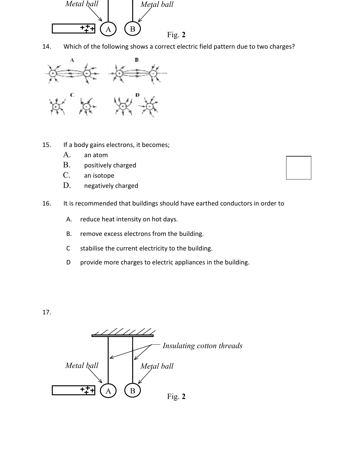

14. Which of the following shows a correct electric field pattern due to two charges?



- 15. If a body gains electrons, it becomes;
	- A. an atom
	- B. positively charged
	- C. an isotope
	- D. negatively charged
- 16. It is recommended that buildings should have earthed conductors in order to
	- A. reduce heat intensity on hot days.
	- B. remove excess electrons from the building.
	- C stabilise the current electricity to the building.
	- D provide more charges to electric appliances in the building.

17.

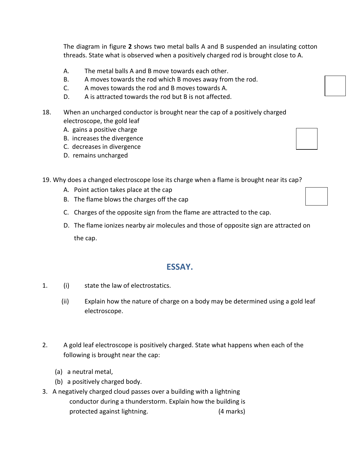The diagram in figure **2** shows two metal balls A and B suspended an insulating cotton threads. State what is observed when a positively charged rod is brought close to A.

- A. The metal balls A and B move towards each other.
- B. A moves towards the rod which B moves away from the rod.
- C. A moves towards the rod and B moves towards A.
- D. A is attracted towards the rod but B is not affected.
- 18. When an uncharged conductor is brought near the cap of a positively charged electroscope, the gold leaf
	- A. gains a positive charge
	- B. increases the divergence
	- C. decreases in divergence
	- D. remains uncharged

19. Why does a changed electroscope lose its charge when a flame is brought near its cap?

- A. Point action takes place at the cap
- B. The flame blows the charges off the cap
- C. Charges of the opposite sign from the flame are attracted to the cap.
- D. The flame ionizes nearby air molecules and those of opposite sign are attracted on the cap.

## **ESSAY.**

- 1. (i) state the law of electrostatics.
	- (ii) Explain how the nature of charge on a body may be determined using a gold leaf electroscope.
- 2. A gold leaf electroscope is positively charged. State what happens when each of the following is brought near the cap:
	- (a) a neutral metal,
	- (b) a positively charged body.
- 3. A negatively charged cloud passes over a building with a lightning conductor during a thunderstorm. Explain how the building is protected against lightning. (4 marks)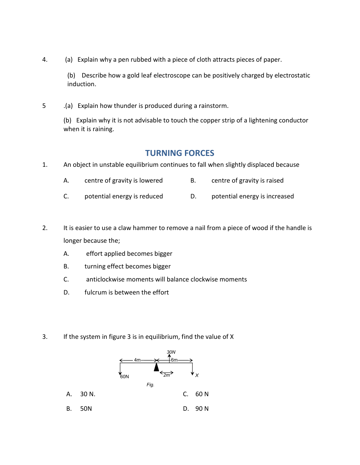4. (a) Explain why a pen rubbed with a piece of cloth attracts pieces of paper.

(b) Describe how a gold leaf electroscope can be positively charged by electrostatic induction.

5 .(a) Explain how thunder is produced during a rainstorm.

(b) Explain why it is not advisable to touch the copper strip of a lightening conductor when it is raining.

## **TURNING FORCES**

- 1. An object in unstable equilibrium continues to fall when slightly displaced because
	- A. centre of gravity is lowered B. centre of gravity is raised
	- C. potential energy is reduced D. potential energy is increased
- 2. It is easier to use a claw hammer to remove a nail from a piece of wood if the handle is longer because the;
	- A. effort applied becomes bigger
	- B. turning effect becomes bigger
	- C. anticlockwise moments will balance clockwise moments
	- D. fulcrum is between the effort
- 3. If the system in figure 3 is in equilibrium, find the value of X

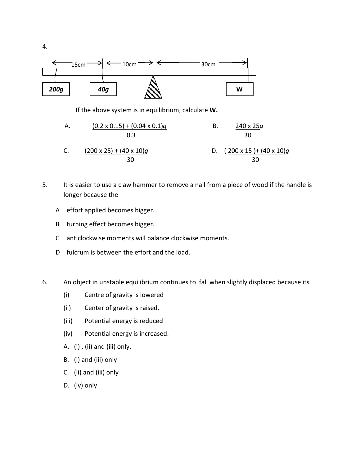

- C.  $(200 \times 25) + (40 \times 10)g$  D.  $(200 \times 15) + (40 \times 10)g$ 30 30
- 5. It is easier to use a claw hammer to remove a nail from a piece of wood if the handle is longer because the
	- A effort applied becomes bigger.
	- B turning effect becomes bigger.
	- C anticlockwise moments will balance clockwise moments.
	- D fulcrum is between the effort and the load.
- 6. An object in unstable equilibrium continues to fall when slightly displaced because its
	- (i) Centre of gravity is lowered
	- (ii) Center of gravity is raised.
	- (iii) Potential energy is reduced
	- (iv) Potential energy is increased.
	- A. (i) , (ii) and (iii) only.
	- B. (i) and (iii) only
	- C. (ii) and (iii) only
	- D. (iv) only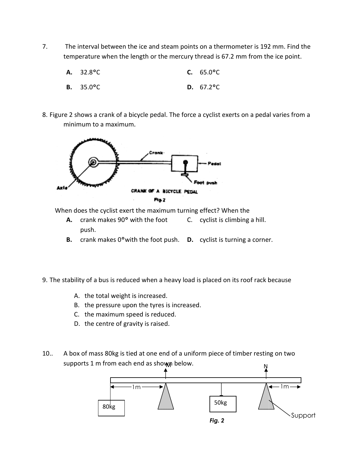7. The interval between the ice and steam points on a thermometer is 192 mm. Find the The interval between the ice and steam points on a thermometer is 192 mm. Find temperature when the length or the mercury thread is 67.2 mm from the ice point.

| $A. 32.8^{\circ}C$         | <b>C.</b> $65.0^{\circ}$ C |
|----------------------------|----------------------------|
| <b>B.</b> $35.0^{\circ}$ C | <b>D.</b> $67.2^{\circ}$ C |

- 
- 8. Figure 2 shows a crank of a bicycle pedal. The force a cyclist exerts on a pedal varies from a minimum to a maximum.



When does the cyclist exert the maximum turning effect? When the

- **A.** crank makes 90° with the foot push. C. cyclist is climbing a hill.
- **B.** crank makes 0° with the foot push. **D.** cyclist is turning a corner.
- 9. The stability of a bus is reduced when a heavy load is placed on its roof rack because
	- A. the total weight is increased.
	- B. the pressure upon the tyres is increased.
	- C. the maximum speed is reduced.
	- D. the centre of gravity is raised.
- 10.. A box of mass 80kg is tied at one end of a uniform piece of timber resting on two supports 1 m from each end as shown below. supports 1 m from each end as shown below.

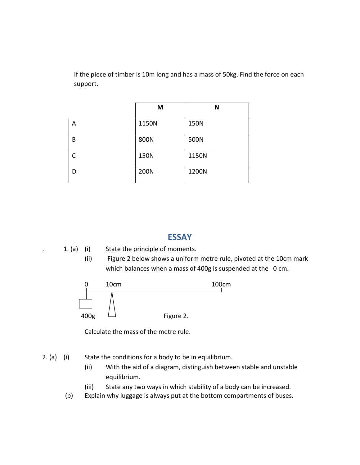If the piece of timber is 10m long and has a mass of 50kg. Find the force on each support.

|           | M     | N     |
|-----------|-------|-------|
| А         | 1150N | 150N  |
| B         | 800N  | 500N  |
| $\subset$ | 150N  | 1150N |
| D         | 200N  | 1200N |

## **ESSAY**



(ii) Figure 2 below shows a uniform metre rule, pivoted at the 10cm mark which balances when a mass of 400g is suspended at the 0 cm.



Calculate the mass of the metre rule.

2. (a) (i) State the conditions for a body to be in equilibrium.

(ii) With the aid of a diagram, distinguish between stable and unstable equilibrium.

(iii) State any two ways in which stability of a body can be increased.

(b) Explain why luggage is always put at the bottom compartments of buses.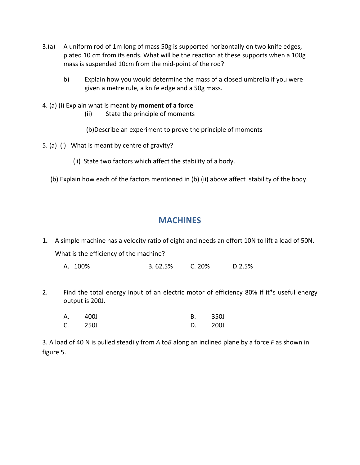- 3.(a) A uniform rod of 1m long of mass 50g is supported horizontally on two knife edges, plated 10 cm from its ends. What will be the reaction at these supports when a 100g mass is suspended 10cm from the mid-point of the rod?
	- b) Explain how you would determine the mass of a closed umbrella if you were given a metre rule, a knife edge and a 50g mass.
- 4. (a) (i) Explain what is meant by **moment of a force**
	- (ii) State the principle of moments

(b)Describe an experiment to prove the principle of moments

- 5. (a) (i) What is meant by centre of gravity?
	- (ii) State two factors which affect the stability of a body.
	- (b) Explain how each of the factors mentioned in (b) (ii) above affect stability of the body.

# **MACHINES**

**1.** A simple machine has a velocity ratio of eight and needs an effort 10N to lift a load of 50N. What is the efficiency of the machine?

A. 100% B. 62.5% C. 20% D.2.5%

2. Find the total energy input of an electric motor of efficiency 80% if it's useful energy output is 200J.

| А.      | 400J | <b>B.</b> | 350J |
|---------|------|-----------|------|
| C. 250J |      | D. 200J   |      |

3. A load of 40 N is pulled steadily from *A* to*B* along an inclined plane by a force *F* as shown in figure 5.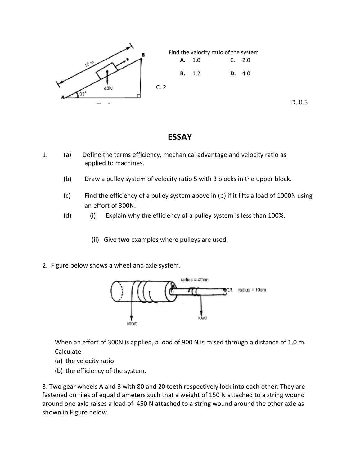

D. 0.5

## **ESSAY**

- 1. (a) Define the terms efficiency, mechanical advantage and velocity ratio as applied to machines. (a) Define the terms efficiency, mechanical advantage and velocity ratio as<br>
applied to machines.<br>
(b) Draw a pulley system of velocity ratio 5 with 3 blocks in the upper block.<br>
(c) Find the efficiency of a pulley system
	- (b) Draw a pulley system of velocity ratio 5 with 3 blocks in the upper block.
	- an effort of 300N.
	- (d) (i) Explain why the efficiency of a pulley system is less than 100%.
		- (ii) Give **two** examples where pulleys are used.
- 2. Figure below shows a wheel and axle system.



When an effort of 300N is applied, a load of 900 N is raised through a distance of 1.0 m. Calculate

- (a) the velocity ratio
- (b) the efficiency of the system.

3. Two gear wheels A and B with 80 and 20 teeth respectively lock into each other. They are fastened on riles of equal diameters such that a weight of 150 N attached to a string wound around one axle raises a load of 450 N attached to a string wound aroun d shown in Figure below.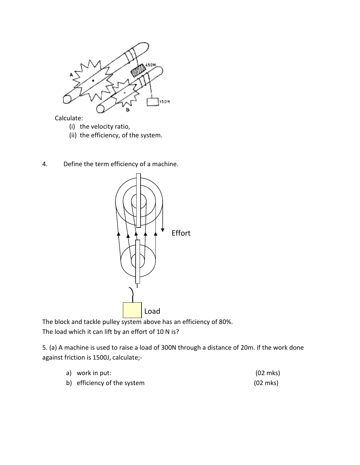

Calculate:

- (i) the velocity ratio,
- (ii) the efficiency, of the system.
- 4. Define the term efficiency of a machine.



The block and tackle pulley system above has an efficiency of 80%. The load which it can lift by an effort of 10 N is?

5. (a) A machine is used to raise a load of 300N through a distance of 20m. if the work done against friction is 1500J, calculate; kle pulley system above has an efficiency of 80%.<br>can lift by an effort of 10 N is?<br>s used to raise a load of 300N through a distance of<br>1500J, calculate;-

| a) work in put:             | $(02 \text{ mks})$ |
|-----------------------------|--------------------|
| b) efficiency of the system | $(02 \text{ mks})$ |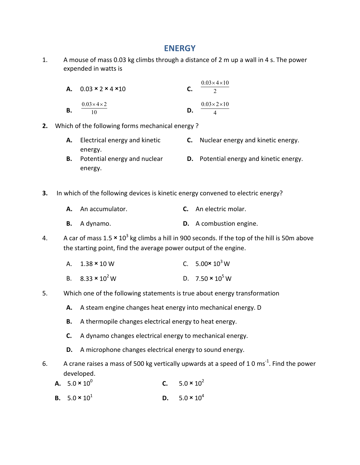## **ENERGY**

1. A mouse of mass 0.03 kg climbs through a distance of 2 m up a wall in 4 s. The power expended in watts is

|    | A. $0.03 \times 2 \times 4 \times 10$ |    | $0.03 \times 4 \times 10$ |
|----|---------------------------------------|----|---------------------------|
| В. | $0.03\times4\times2$<br>10            | D. | $0.03\times2\times10$     |

- **2.** Which of the following forms mechanical energy ?
	- **A.** Electrical energy and kinetic energy. **C.** Nuclear energy and kinetic energy.
	- **B.** Potential energy and nuclear energy. **D.** Potential energy and kinetic energy.
- **3.** In which of the following devices is kinetic energy convened to electric energy?
	- **A.** An accumulator. **C.** An electric molar.
	- **B.** A dynamo. **D.** A combustion engine.
- 4. A car of mass 1.5  $\times$  10<sup>3</sup> kg climbs a hill in 900 seconds. If the top of the hill is 50m above the starting point, find the average power output of the engine.
	- A.  $1.38 \times 10 \text{ W}$  C. 5.00 $\times 10^{3} \text{ W}$
	- B.  $8.33 \times 10^2 \text{ W}$  D.  $7.50 \times 10^5 \text{ W}$
- 5. Which one of the following statements is true about energy transformation
	- **A.** A steam engine changes heat energy into mechanical energy. D
	- **B.** A thermopile changes electrical energy to heat energy.
	- **C.** A dynamo changes electrical energy to mechanical energy.
	- **D.** A microphone changes electrical energy to sound energy.
- 6. A crane raises a mass of 500 kg vertically upwards at a speed of 1 0 ms<sup>-1</sup>. Find the power developed.
	- **A.**  $5.0 \times 10^{0}$ **C.**  $5.0 \times 10^2$
	- **B.**  $5.0 \times 10^1$  **D.**  $5.0 \times 10^4$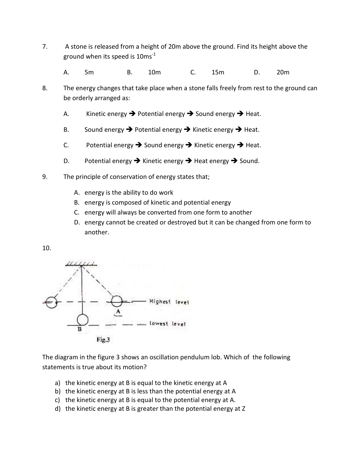- 7. A stone is released from a height of 20m above the ground. Find its height above the ground when its speed is  $10ms<sup>-1</sup>$ 
	- A. 5m B. 10m C. 15m D. 20m
- 8. The energy changes that take place when a stone falls freely from rest to the ground can be orderly arranged as:
	- A. Kinetic energy  $\rightarrow$  Potential energy  $\rightarrow$  Sound energy  $\rightarrow$  Heat.
	- B. Sound energy  $\rightarrow$  Potential energy  $\rightarrow$  Kinetic energy  $\rightarrow$  Heat.
	- C. Potential energy  $\rightarrow$  Sound energy  $\rightarrow$  Kinetic energy  $\rightarrow$  Heat.
	- D. Potential energy  $\rightarrow$  Kinetic energy  $\rightarrow$  Heat energy  $\rightarrow$  Sound.
- 9. The principle of conservation of energy states that;
	- A. energy is the ability to do work
	- B. energy is composed of kinetic and potential energy
	- C. energy will always be converted from one form to another
	- D. energy cannot be created or destroyed but it can be changed from one form to another.





The diagram in the figure 3 shows an oscillation pendulum lob. Which of the following statements is true about its motion?

- a) the kinetic energy at B is equal to the kinetic energy at A
- b) the kinetic energy at B is less than the potential energy at A
- c) the kinetic energy at B is equal to the potential energy at A.
- d) the kinetic energy at B is greater than the potential energy at Z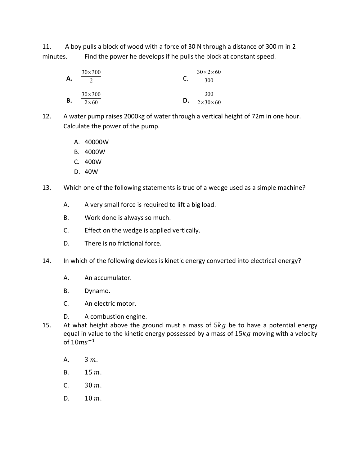11. A boy pulls a block of wood with a force of 30 N through a distance of 300 m in 2 minutes. Find the power he develops if he pulls the block at constant speed.

| Α. | $30\times300$                 |    | $30 \times 2 \times 60$<br>300 |
|----|-------------------------------|----|--------------------------------|
| В. | $30\times300$<br>$2\times 60$ | D. | 300<br>$2 \times 30 \times 60$ |

12. A water pump raises 2000kg of water through a vertical height of 72m in one hour. Calculate the power of the pump.

- A. 40000W
- B. 4000W
- C. 400W
- D. 40W
- 13. Which one of the following statements is true of a wedge used as a simple machine?
	- A. A very small force is required to lift a big load.
	- B. Work done is always so much.
	- C. Effect on the wedge is applied vertically.
	- D. There is no frictional force.
- 14. In which of the following devices is kinetic energy converted into electrical energy?
	- A. An accumulator.
	- B. Dynamo.
	- C. An electric motor.
	- D. A combustion engine.
- 15. At what height above the ground must a mass of  $5kg$  be to have a potential energy equal in value to the kinetic energy possessed by a mass of  $15kg$  moving with a velocity of  $10ms^{-1}$ 
	- A.  $3 m.$
	- B.  $15 m.$
	- C.  $30 \, m.$
	- D.  $10 \, m.$